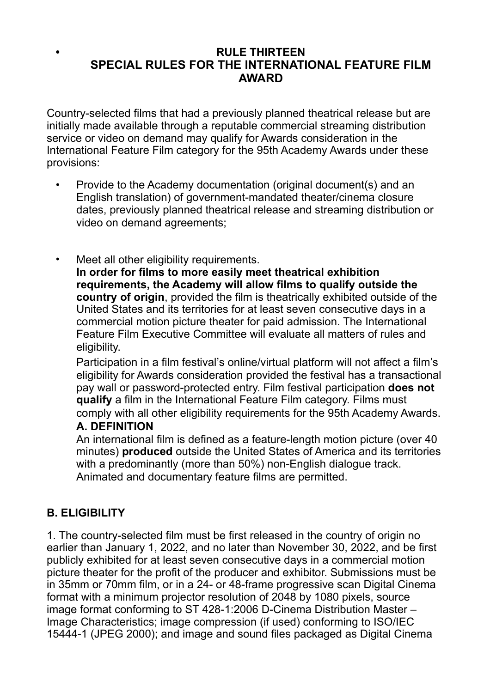#### **• RULE THIRTEEN SPECIAL RULES FOR THE INTERNATIONAL FEATURE FILM AWARD**

Country-selected films that had a previously planned theatrical release but are initially made available through a reputable commercial streaming distribution service or video on demand may qualify for Awards consideration in the International Feature Film category for the 95th Academy Awards under these provisions:

- Provide to the Academy documentation (original document(s) and an English translation) of government-mandated theater/cinema closure dates, previously planned theatrical release and streaming distribution or video on demand agreements;
- Meet all other eligibility requirements. **In order for films to more easily meet theatrical exhibition requirements, the Academy will allow films to qualify outside the country of origin**, provided the film is theatrically exhibited outside of the United States and its territories for at least seven consecutive days in a commercial motion picture theater for paid admission. The International Feature Film Executive Committee will evaluate all matters of rules and eligibility.

Participation in a film festival's online/virtual platform will not affect a film's eligibility for Awards consideration provided the festival has a transactional pay wall or password-protected entry. Film festival participation **does not qualify** a film in the International Feature Film category. Films must comply with all other eligibility requirements for the 95th Academy Awards.

#### **A. DEFINITION**

An international film is defined as a feature-length motion picture (over 40 minutes) **produced** outside the United States of America and its territories with a predominantly (more than 50%) non-English dialogue track. Animated and documentary feature films are permitted.

### **B. ELIGIBILITY**

1. The country-selected film must be first released in the country of origin no earlier than January 1, 2022, and no later than November 30, 2022, and be first publicly exhibited for at least seven consecutive days in a commercial motion picture theater for the profit of the producer and exhibitor. Submissions must be in 35mm or 70mm film, or in a 24- or 48-frame progressive scan Digital Cinema format with a minimum projector resolution of 2048 by 1080 pixels, source image format conforming to ST 428-1:2006 D-Cinema Distribution Master – Image Characteristics; image compression (if used) conforming to ISO/IEC 15444-1 (JPEG 2000); and image and sound files packaged as Digital Cinema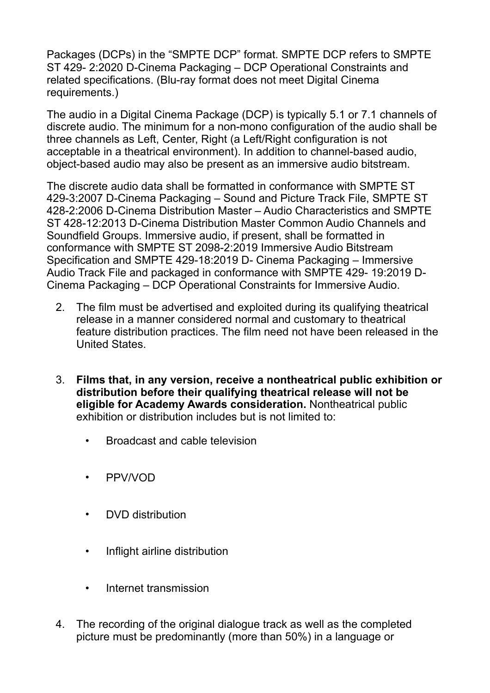Packages (DCPs) in the "SMPTE DCP" format. SMPTE DCP refers to SMPTE ST 429- 2:2020 D-Cinema Packaging – DCP Operational Constraints and related specifications. (Blu-ray format does not meet Digital Cinema requirements.)

The audio in a Digital Cinema Package (DCP) is typically 5.1 or 7.1 channels of discrete audio. The minimum for a non-mono configuration of the audio shall be three channels as Left, Center, Right (a Left/Right configuration is not acceptable in a theatrical environment). In addition to channel-based audio, object-based audio may also be present as an immersive audio bitstream.

The discrete audio data shall be formatted in conformance with SMPTE ST 429-3:2007 D-Cinema Packaging – Sound and Picture Track File, SMPTE ST 428-2:2006 D-Cinema Distribution Master – Audio Characteristics and SMPTE ST 428-12:2013 D-Cinema Distribution Master Common Audio Channels and Soundfield Groups. Immersive audio, if present, shall be formatted in conformance with SMPTE ST 2098-2:2019 Immersive Audio Bitstream Specification and SMPTE 429-18:2019 D- Cinema Packaging – Immersive Audio Track File and packaged in conformance with SMPTE 429- 19:2019 D-Cinema Packaging – DCP Operational Constraints for Immersive Audio.

- 2. The film must be advertised and exploited during its qualifying theatrical release in a manner considered normal and customary to theatrical feature distribution practices. The film need not have been released in the United States.
- 3. **Films that, in any version, receive a nontheatrical public exhibition or distribution before their qualifying theatrical release will not be eligible for Academy Awards consideration.** Nontheatrical public exhibition or distribution includes but is not limited to:
	- Broadcast and cable television
	- PPV/VOD
	- DVD distribution
	- Inflight airline distribution
	- Internet transmission
- 4. The recording of the original dialogue track as well as the completed picture must be predominantly (more than 50%) in a language or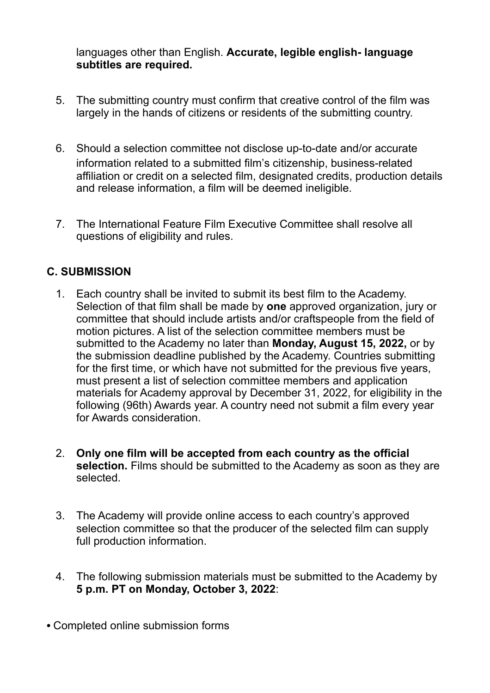languages other than English. **Accurate, legible english- language subtitles are required.** 

- 5. The submitting country must confirm that creative control of the film was largely in the hands of citizens or residents of the submitting country.
- 6. Should a selection committee not disclose up-to-date and/or accurate information related to a submitted film's citizenship, business-related affiliation or credit on a selected film, designated credits, production details and release information, a film will be deemed ineligible.
- 7. The International Feature Film Executive Committee shall resolve all questions of eligibility and rules.

## **C. SUBMISSION**

- 1. Each country shall be invited to submit its best film to the Academy. Selection of that film shall be made by **one** approved organization, jury or committee that should include artists and/or craftspeople from the field of motion pictures. A list of the selection committee members must be submitted to the Academy no later than **Monday, August 15, 2022,** or by the submission deadline published by the Academy. Countries submitting for the first time, or which have not submitted for the previous five years, must present a list of selection committee members and application materials for Academy approval by December 31, 2022, for eligibility in the following (96th) Awards year. A country need not submit a film every year for Awards consideration.
- 2. **Only one film will be accepted from each country as the official selection.** Films should be submitted to the Academy as soon as they are selected.
- 3. The Academy will provide online access to each country's approved selection committee so that the producer of the selected film can supply full production information.
- 4. The following submission materials must be submitted to the Academy by **5 p.m. PT on Monday, October 3, 2022**:
- Completed online submission forms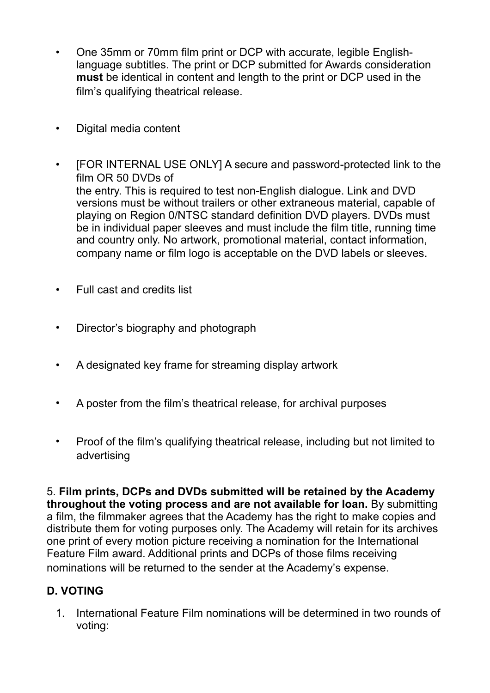- One 35mm or 70mm film print or DCP with accurate, legible Englishlanguage subtitles. The print or DCP submitted for Awards consideration **must** be identical in content and length to the print or DCP used in the film's qualifying theatrical release.
- Digital media content
- [FOR INTERNAL USE ONLY] A secure and password-protected link to the film OR 50 DVDs of the entry. This is required to test non-English dialogue. Link and DVD versions must be without trailers or other extraneous material, capable of playing on Region 0/NTSC standard definition DVD players. DVDs must be in individual paper sleeves and must include the film title, running time and country only. No artwork, promotional material, contact information, company name or film logo is acceptable on the DVD labels or sleeves.
- Full cast and credits list
- Director's biography and photograph
- A designated key frame for streaming display artwork
- A poster from the film's theatrical release, for archival purposes
- Proof of the film's qualifying theatrical release, including but not limited to advertising

5. **Film prints, DCPs and DVDs submitted will be retained by the Academy throughout the voting process and are not available for loan.** By submitting a film, the filmmaker agrees that the Academy has the right to make copies and distribute them for voting purposes only. The Academy will retain for its archives one print of every motion picture receiving a nomination for the International Feature Film award. Additional prints and DCPs of those films receiving nominations will be returned to the sender at the Academy's expense.

### **D. VOTING**

1. International Feature Film nominations will be determined in two rounds of voting: